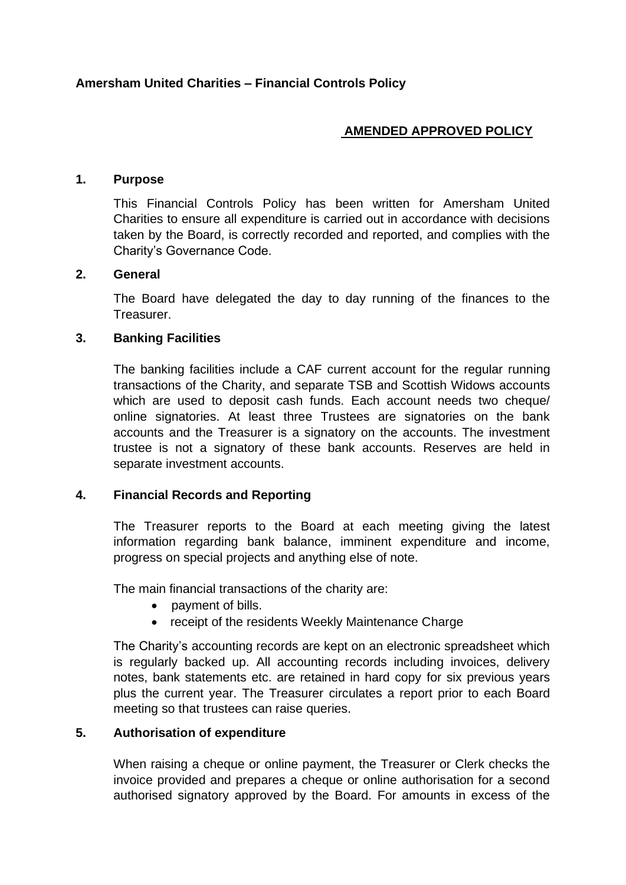# **AMENDED APPROVED POLICY**

#### **1. Purpose**

This Financial Controls Policy has been written for Amersham United Charities to ensure all expenditure is carried out in accordance with decisions taken by the Board, is correctly recorded and reported, and complies with the Charity's Governance Code.

## **2. General**

The Board have delegated the day to day running of the finances to the Treasurer.

## **3. Banking Facilities**

The banking facilities include a CAF current account for the regular running transactions of the Charity, and separate TSB and Scottish Widows accounts which are used to deposit cash funds. Each account needs two cheque/ online signatories. At least three Trustees are signatories on the bank accounts and the Treasurer is a signatory on the accounts. The investment trustee is not a signatory of these bank accounts. Reserves are held in separate investment accounts.

# **4. Financial Records and Reporting**

The Treasurer reports to the Board at each meeting giving the latest information regarding bank balance, imminent expenditure and income, progress on special projects and anything else of note.

The main financial transactions of the charity are:

- payment of bills.
- receipt of the residents Weekly Maintenance Charge

The Charity's accounting records are kept on an electronic spreadsheet which is regularly backed up. All accounting records including invoices, delivery notes, bank statements etc. are retained in hard copy for six previous years plus the current year. The Treasurer circulates a report prior to each Board meeting so that trustees can raise queries.

#### **5. Authorisation of expenditure**

When raising a cheque or online payment, the Treasurer or Clerk checks the invoice provided and prepares a cheque or online authorisation for a second authorised signatory approved by the Board. For amounts in excess of the